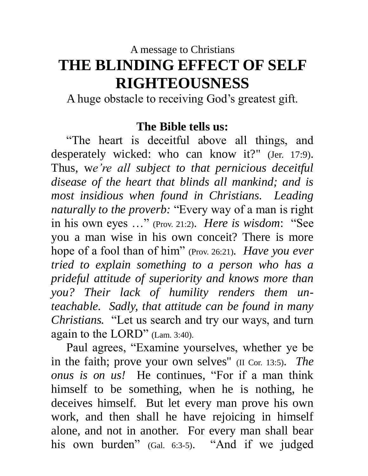# A message to Christians **THE BLINDING EFFECT OF SELF RIGHTEOUSNESS**

A huge obstacle to receiving God's greatest gift.

# **The Bible tells us:**

 "The heart is deceitful above all things, and desperately wicked: who can know it?" (Jer. 17:9). Thus, w*e're all subject to that pernicious deceitful disease of the heart that blinds all mankind; and is most insidious when found in Christians. Leading naturally to the proverb:* "Every way of a man is right in his own eyes …" (Prov. 21:2). *Here is wisdom*: "See you a man wise in his own conceit? There is more hope of a fool than of him" (Prov. 26:21). *Have you ever tried to explain something to a person who has a prideful attitude of superiority and knows more than you? Their lack of humility renders them unteachable. Sadly, that attitude can be found in many Christians.* "Let us search and try our ways, and turn again to the LORD" (Lam. 3:40).

 Paul agrees, "Examine yourselves, whether ye be in the faith; prove your own selves" (II Cor. 13:5). *The onus is on us!* He continues, "For if a man think himself to be something, when he is nothing, he deceives himself. But let every man prove his own work, and then shall he have rejoicing in himself alone, and not in another. For every man shall bear his own burden" (Gal. 6:3-5). "And if we judged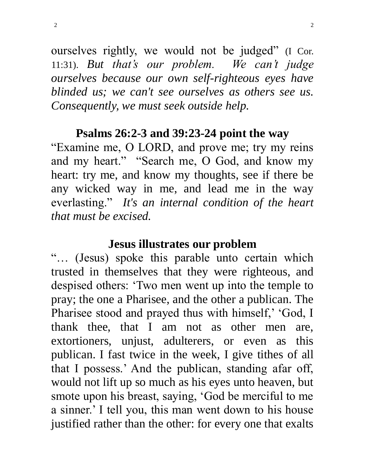ourselves rightly, we would not be judged" (I Cor. 11:31). *But that's our problem. We can't judge ourselves because our own self-righteous eyes have blinded us; we can't see ourselves as others see us. Consequently, we must seek outside help.* 

### **Psalms 26:2-3 and 39:23-24 point the way**

"Examine me, O LORD, and prove me; try my reins and my heart." "Search me, O God, and know my heart: try me, and know my thoughts, see if there be any wicked way in me, and lead me in the way everlasting." *It's an internal condition of the heart that must be excised.* 

#### **Jesus illustrates our problem**

"… (Jesus) spoke this parable unto certain which trusted in themselves that they were righteous, and despised others: 'Two men went up into the temple to pray; the one a Pharisee, and the other a publican. The Pharisee stood and prayed thus with himself,' 'God, I thank thee, that I am not as other men are, extortioners, unjust, adulterers, or even as this publican. I fast twice in the week, I give tithes of all that I possess.' And the publican, standing afar off, would not lift up so much as his eyes unto heaven, but smote upon his breast, saying, 'God be merciful to me a sinner.' I tell you, this man went down to his house justified rather than the other: for every one that exalts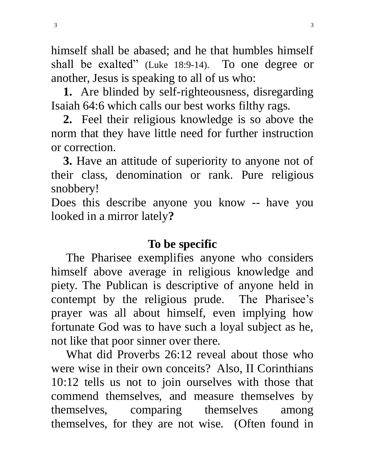himself shall be abased; and he that humbles himself shall be exalted" (Luke 18:9-14). To one degree or another, Jesus is speaking to all of us who:

 **1.** Are blinded by self-righteousness, disregarding Isaiah 64:6 which calls our best works filthy rags.

 **2.** Feel their religious knowledge is so above the norm that they have little need for further instruction or correction.

 **3.** Have an attitude of superiority to anyone not of their class, denomination or rank. Pure religious snobbery!

Does this describe anyone you know -- have you looked in a mirror lately**?** 

### **To be specific**

 The Pharisee exemplifies anyone who considers himself above average in religious knowledge and piety. The Publican is descriptive of anyone held in contempt by the religious prude. The Pharisee's prayer was all about himself, even implying how fortunate God was to have such a loyal subject as he, not like that poor sinner over there.

 What did Proverbs 26:12 reveal about those who were wise in their own conceits? Also, II Corinthians 10:12 tells us not to join ourselves with those that commend themselves, and measure themselves by themselves, comparing themselves among themselves, for they are not wise. (Often found in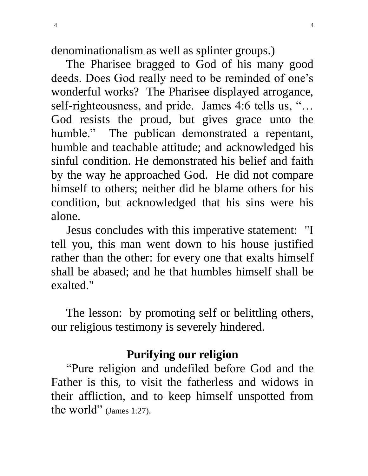denominationalism as well as splinter groups.)

 The Pharisee bragged to God of his many good deeds. Does God really need to be reminded of one's wonderful works? The Pharisee displayed arrogance, self-righteousness, and pride. James 4:6 tells us, "... God resists the proud, but gives grace unto the humble." The publican demonstrated a repentant, humble and teachable attitude; and acknowledged his sinful condition. He demonstrated his belief and faith by the way he approached God. He did not compare himself to others; neither did he blame others for his condition, but acknowledged that his sins were his alone.

 Jesus concludes with this imperative statement: "I tell you, this man went down to his house justified rather than the other: for every one that exalts himself shall be abased; and he that humbles himself shall be exalted."

 The lesson: by promoting self or belittling others, our religious testimony is severely hindered.

### **Purifying our religion**

 "Pure religion and undefiled before God and the Father is this, to visit the fatherless and widows in their affliction, and to keep himself unspotted from the world" (James 1:27).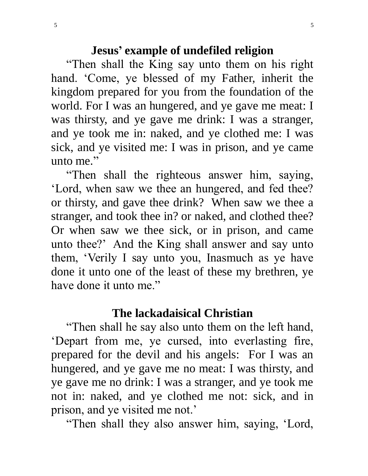### **Jesus' example of undefiled religion**

 "Then shall the King say unto them on his right hand. 'Come, ye blessed of my Father, inherit the kingdom prepared for you from the foundation of the world. For I was an hungered, and ye gave me meat: I was thirsty, and ye gave me drink: I was a stranger, and ye took me in: naked, and ye clothed me: I was sick, and ye visited me: I was in prison, and ye came unto me."

 "Then shall the righteous answer him, saying, 'Lord, when saw we thee an hungered, and fed thee? or thirsty, and gave thee drink? When saw we thee a stranger, and took thee in? or naked, and clothed thee? Or when saw we thee sick, or in prison, and came unto thee?' And the King shall answer and say unto them, 'Verily I say unto you, Inasmuch as ye have done it unto one of the least of these my brethren, ye have done it unto me."

### **The lackadaisical Christian**

 "Then shall he say also unto them on the left hand, 'Depart from me, ye cursed, into everlasting fire, prepared for the devil and his angels: For I was an hungered, and ye gave me no meat: I was thirsty, and ye gave me no drink: I was a stranger, and ye took me not in: naked, and ye clothed me not: sick, and in prison, and ye visited me not.'

"Then shall they also answer him, saying, 'Lord,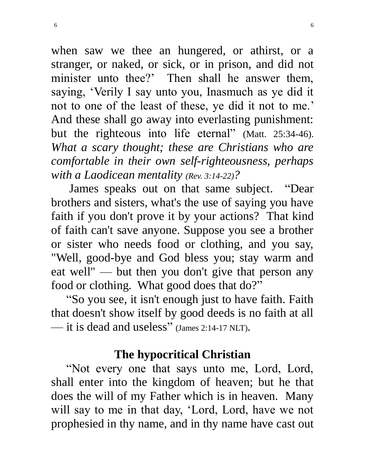when saw we thee an hungered, or athirst, or a stranger, or naked, or sick, or in prison, and did not minister unto thee?' Then shall he answer them, saying, 'Verily I say unto you, Inasmuch as ye did it not to one of the least of these, ye did it not to me.' And these shall go away into everlasting punishment: but the righteous into life eternal" (Matt. 25:34-46). *What a scary thought; these are Christians who are comfortable in their own self-righteousness, perhaps with a Laodicean mentality (Rev. 3:14-22)?*

 James speaks out on that same subject. "Dear brothers and sisters, what's the use of saying you have faith if you don't prove it by your actions? That kind of faith can't save anyone. Suppose you see a brother or sister who needs food or clothing, and you say, "Well, good-bye and God bless you; stay warm and eat well" — but then you don't give that person any food or clothing. What good does that do?"

 "So you see, it isn't enough just to have faith. Faith that doesn't show itself by good deeds is no faith at all — it is dead and useless" (James 2:14-17 NLT).

# **The hypocritical Christian**

 "Not every one that says unto me, Lord, Lord, shall enter into the kingdom of heaven; but he that does the will of my Father which is in heaven. Many will say to me in that day, 'Lord, Lord, have we not prophesied in thy name, and in thy name have cast out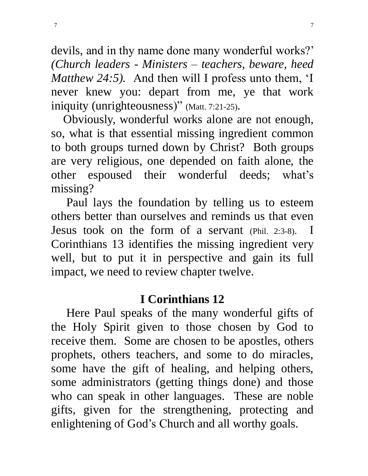devils, and in thy name done many wonderful works?' *(Church leaders - Ministers – teachers, beware, heed Matthew 24:5).* And then will I profess unto them, 'I never knew you: depart from me, ye that work iniquity (unrighteousness)" (Matt. 7:21-25).

 Obviously, wonderful works alone are not enough, so, what is that essential missing ingredient common to both groups turned down by Christ? Both groups are very religious, one depended on faith alone, the other espoused their wonderful deeds; what's missing?

 Paul lays the foundation by telling us to esteem others better than ourselves and reminds us that even Jesus took on the form of a servant (Phil. 2:3-8). I Corinthians 13 identifies the missing ingredient very well, but to put it in perspective and gain its full impact, we need to review chapter twelve.

### **I Corinthians 12**

 Here Paul speaks of the many wonderful gifts of the Holy Spirit given to those chosen by God to receive them. Some are chosen to be apostles, others prophets, others teachers, and some to do miracles, some have the gift of healing, and helping others, some administrators (getting things done) and those who can speak in other languages. These are noble gifts, given for the strengthening, protecting and enlightening of God's Church and all worthy goals.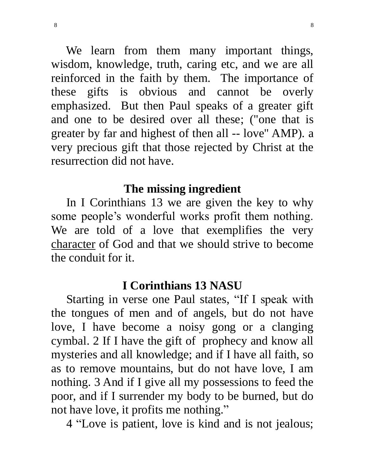We learn from them many important things, wisdom, knowledge, truth, caring etc, and we are all reinforced in the faith by them. The importance of these gifts is obvious and cannot be overly emphasized. But then Paul speaks of a greater gift and one to be desired over all these; ("one that is greater by far and highest of then all -- love" AMP). a very precious gift that those rejected by Christ at the resurrection did not have.

#### **The missing ingredient**

In I Corinthians 13 we are given the key to why some people's wonderful works profit them nothing. We are told of a love that exemplifies the very character of God and that we should strive to become the conduit for it.

#### **I Corinthians 13 NASU**

 Starting in verse one Paul states, "If I speak with the tongues of men and of angels, but do not have love, I have become a noisy gong or a clanging cymbal. 2 If I have the gift of prophecy and know all mysteries and all knowledge; and if I have all faith, so as to remove mountains, but do not have love, I am nothing. 3 And if I give all my possessions to feed the poor, and if I surrender my body to be burned, but do not have love, it profits me nothing."

4 "Love is patient, love is kind and is not jealous;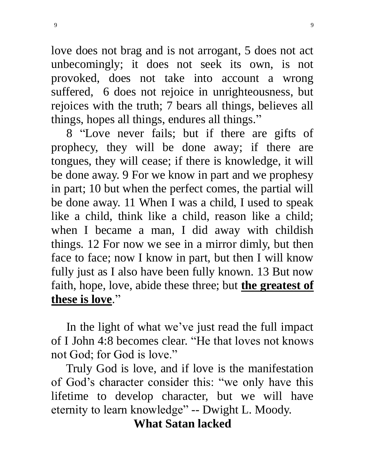love does not brag and is not arrogant, 5 does not act unbecomingly; it does not seek its own, is not provoked, does not take into account a wrong suffered, 6 does not rejoice in unrighteousness, but rejoices with the truth; 7 bears all things, believes all things, hopes all things, endures all things."

 8 "Love never fails; but if there are gifts of prophecy, they will be done away; if there are tongues, they will cease; if there is knowledge, it will be done away. 9 For we know in part and we prophesy in part; 10 but when the perfect comes, the partial will be done away. 11 When I was a child, I used to speak like a child, think like a child, reason like a child; when I became a man, I did away with childish things. 12 For now we see in a mirror dimly, but then face to face; now I know in part, but then I will know fully just as I also have been fully known. 13 But now faith, hope, love, abide these three; but **the greatest of these is love**."

 In the light of what we've just read the full impact of I John 4:8 becomes clear. "He that loves not knows not God; for God is love."

 Truly God is love, and if love is the manifestation of God's character consider this: "we only have this lifetime to develop character, but we will have eternity to learn knowledge" -- Dwight L. Moody.

**What Satan lacked**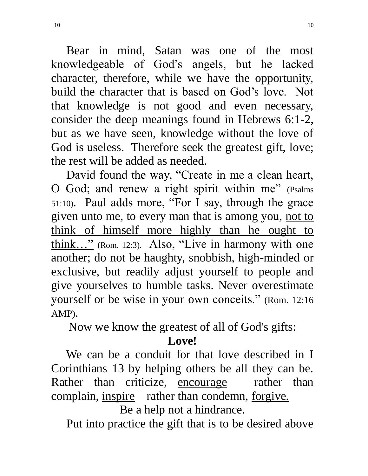Bear in mind, Satan was one of the most knowledgeable of God's angels, but he lacked character, therefore, while we have the opportunity, build the character that is based on God's love. Not that knowledge is not good and even necessary, consider the deep meanings found in Hebrews 6:1-2, but as we have seen, knowledge without the love of God is useless. Therefore seek the greatest gift, love; the rest will be added as needed.

 David found the way, "Create in me a clean heart, O God; and renew a right spirit within me" (Psalms 51:10). Paul adds more, "For I say, through the grace given unto me, to every man that is among you, not to think of himself more highly than he ought to think…" (Rom. 12:3). Also, "Live in harmony with one another; do not be haughty, snobbish, high-minded or exclusive, but readily adjust yourself to people and give yourselves to humble tasks. Never overestimate yourself or be wise in your own conceits." (Rom. 12:16 AMP).

Now we know the greatest of all of God's gifts:

### **Love!**

 We can be a conduit for that love described in I Corinthians 13 by helping others be all they can be. Rather than criticize, encourage  $-$  rather than complain, inspire – rather than condemn, forgive.

Be a help not a hindrance.

Put into practice the gift that is to be desired above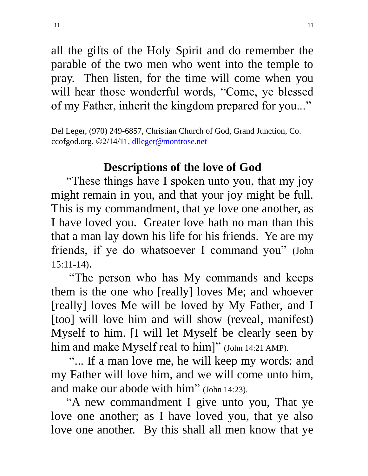all the gifts of the Holy Spirit and do remember the parable of the two men who went into the temple to pray. Then listen, for the time will come when you will hear those wonderful words, "Come, ye blessed of my Father, inherit the kingdom prepared for you..."

Del Leger, (970) 249-6857, Christian Church of God, Grand Junction, Co. ccofgod.org. ©2/14/11, dlleger@montrose.net

# **Descriptions of the love of God**

 "These things have I spoken unto you, that my joy might remain in you, and that your joy might be full. This is my commandment, that ye love one another, as I have loved you. Greater love hath no man than this that a man lay down his life for his friends. Ye are my friends, if ye do whatsoever I command you" (John 15:11-14).

 "The person who has My commands and keeps them is the one who [really] loves Me; and whoever [really] loves Me will be loved by My Father, and I [too] will love him and will show (reveal, manifest) Myself to him. [I will let Myself be clearly seen by him and make Myself real to him]" (John 14:21 AMP).

 "... If a man love me, he will keep my words: and my Father will love him, and we will come unto him, and make our abode with him" (John 14:23).

 "A new commandment I give unto you, That ye love one another; as I have loved you, that ye also love one another. By this shall all men know that ye